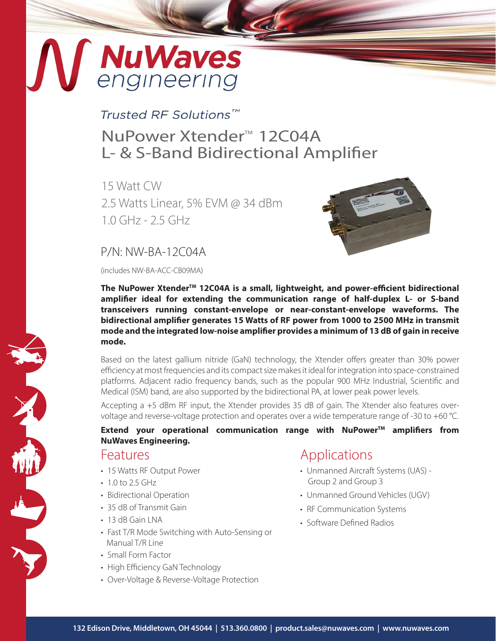# MuWaves

### Trusted RF Solutions™

## NuPower Xtender<sup>™</sup> 12C04A L- & S-Band Bidirectional Amplifier

15 Watt CW 2.5 Watts Linear, 5% EVM @ 34 dBm 1.0 GHz - 2.5 GHz



#### P/N: NW-BA-12C04A

(includes NW-BA-ACC-CB09MA)

**The NuPower XtenderTM 12C04A is a small, lightweight, and power-efficient bidirectional amplifier ideal for extending the communication range of half-duplex L- or S-band transceivers running constant-envelope or near-constant-envelope waveforms. The bidirectional amplifier generates 15 Watts of RF power from 1000 to 2500 MHz in transmit mode and the integrated low-noise amplifier provides a minimum of 13 dB of gain in receive mode.**

Based on the latest gallium nitride (GaN) technology, the Xtender offers greater than 30% power efficiency at most frequencies and its compact size makes it ideal for integration into space-constrained platforms. Adjacent radio frequency bands, such as the popular 900 MHz Industrial, Scientific and Medical (ISM) band, are also supported by the bidirectional PA, at lower peak power levels.

Accepting a +5 dBm RF input, the Xtender provides 35 dB of gain. The Xtender also features overvoltage and reverse-voltage protection and operates over a wide temperature range of -30 to +60 °C.

#### Extend your operational communication range with NuPower<sup>™</sup> amplifiers from **NuWaves Engineering.**

#### Features

- 15 Watts RF Output Power
- $10 to 25 GHz$
- Bidirectional Operation
- 35 dB of Transmit Gain
- 13 dB Gain LNA
- Fast T/R Mode Switching with Auto-Sensing or Manual T/R Line
- Small Form Factor
- High Efficiency GaN Technology
- Over-Voltage & Reverse-Voltage Protection

## Applications

- Unmanned Aircraft Systems (UAS) Group 2 and Group 3
- Unmanned Ground Vehicles (UGV)
- RF Communication Systems
- Software Defined Radios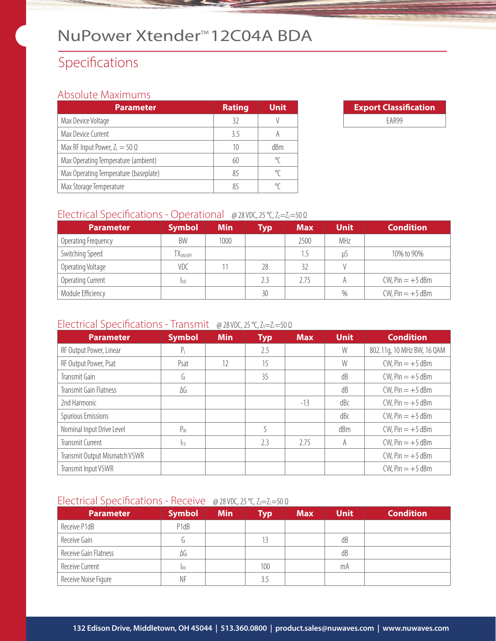## NuPower Xtender<sup>™</sup>12C04A BDA

## Specifications

#### Absolute Maximums

| <b>Parameter</b>                      | <b>Rating</b> | <b>Unit</b> |
|---------------------------------------|---------------|-------------|
| Max Device Voltage                    | 32            |             |
| Max Device Current                    | 35            |             |
| Max RF Input Power, $Z_L = 50 \Omega$ | 10            | dBm         |
| Max Operating Temperature (ambient)   | 60            | °C          |
| Max Operating Temperature (baseplate) | 85            |             |
| Max Storage Temperature               | 85            |             |

| <b>Export Classification</b> |  |  |  |  |
|------------------------------|--|--|--|--|
| FAR99                        |  |  |  |  |

#### Electrical Specifications - Operational @ 28 VDC, 25 °C, Z<sub>S</sub>=Z<sub>L</sub>=50 Ω

| <b>Parameter</b>    | <b>Symbol</b>                   | <b>Min</b> | Typ | <b>Max</b> | <b>Unit</b> | <b>Condition</b>      |
|---------------------|---------------------------------|------------|-----|------------|-------------|-----------------------|
| Operating Frequency | BW                              | 1000       |     | 2500       | MHz         |                       |
| Switching Speed     | $\mathsf{TX}_{\mathsf{ON/OFF}}$ |            |     |            | U)          | 10% to 90%            |
| Operating Voltage   | VDC                             |            | 28  | 32         |             |                       |
| Operating Current   | Ipp                             |            | 2.3 | 2.75       | A           | $CW$ , Pin $= +5$ dBm |
| Module Efficiency   |                                 |            | 30  |            | %           | $CW$ , Pin $= +5$ dBm |

#### Electrical Specifications - Transmit @ 28 VDC, 25 °C, Z<sub>S</sub>=Z<sub>L</sub>=50 Ω

| <b>Parameter</b>              | <b>Symbol</b> | <b>Min</b> | <b>Typ</b> | <b>Max</b> | <b>Unit</b> | <b>Condition</b>           |
|-------------------------------|---------------|------------|------------|------------|-------------|----------------------------|
| RF Output Power, Linear       |               |            | 2.5        |            | W           | 802.11g, 10 MHz BW, 16 QAM |
| RF Output Power, Psat         | Psat          | 12         | 15         |            | W           | $CW$ , Pin $= +5$ dBm      |
| Transmit Gain                 | G             |            | 35         |            | dB          | $CW$ , Pin $= +5$ dBm      |
| Transmit Gain Flatness        | ΔG            |            |            |            | dB          | $CW$ , Pin $= +5$ dBm      |
| 2nd Harmonic                  |               |            |            | $-13$      | dBc         | $CW$ , Pin $= +5$ dBm      |
| Spurious Emissions            |               |            |            |            | dBc         | $CW$ , Pin $= +5$ dBm      |
| Nominal Input Drive Level     | $P_{IN}$      |            |            |            | dBm         | $CW$ , Pin $= +5$ dBm      |
| Transmit Current              | <b>ITX</b>    |            | 2.3        | 2.75       | A           | $CW$ , Pin $= +5$ dBm      |
| Transmit Output Mismatch VSWR |               |            |            |            |             | $CW$ , Pin $= +5$ dBm      |
| Transmit Input VSWR           |               |            |            |            |             | $CW$ , Pin $= +5$ dBm      |

#### Electrical Specifications - Receive @ 28 VDC, 25 °C, Z<sub>S</sub>=Z<sub>L</sub>=50 Ω

| <b>Parameter</b>      | <b>Symbol</b> | <b>Min</b> | Typ | <b>Max</b> | <b>Unit</b> | <b>Condition</b> |
|-----------------------|---------------|------------|-----|------------|-------------|------------------|
| Receive P1dB          | P1dB          |            |     |            |             |                  |
| Receive Gain          |               |            | 13  |            | dB          |                  |
| Receive Gain Flatness | ΔG            |            |     |            | dB          |                  |
| Receive Current       | <b>IRX</b>    |            | 100 |            | mA          |                  |
| Receive Noise Figure  | ΝF            |            |     |            |             |                  |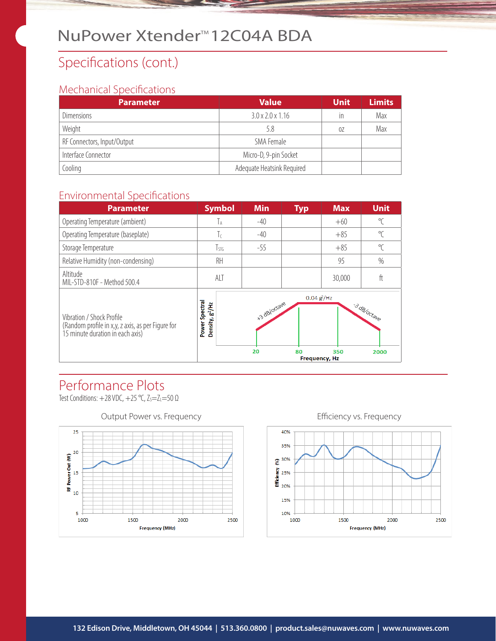## NuPower Xtender<sup>™</sup>12C04A BDA

## Specifications (cont.)

#### Mechanical Specifications

| <b>Parameter</b>            | <b>Value</b>                 | <b>Unit</b> | <b>Limits</b> |
|-----------------------------|------------------------------|-------------|---------------|
| <b>Dimensions</b>           | $3.0 \times 2.0 \times 1.16$ | in          | Max           |
| Weight                      | 5.8                          | 0Z          | Max           |
| RF Connectors, Input/Output | SMA Female                   |             |               |
| Interface Connector         | Micro-D, 9-pin Socket        |             |               |
| Cooling                     | Adequate Heatsink Required   |             |               |

#### Environmental Specifications



## Performance Plots

Test Conditions:  $+28$  VDC,  $+25$  °C,  $Z_s = Z_l = 50 \Omega$